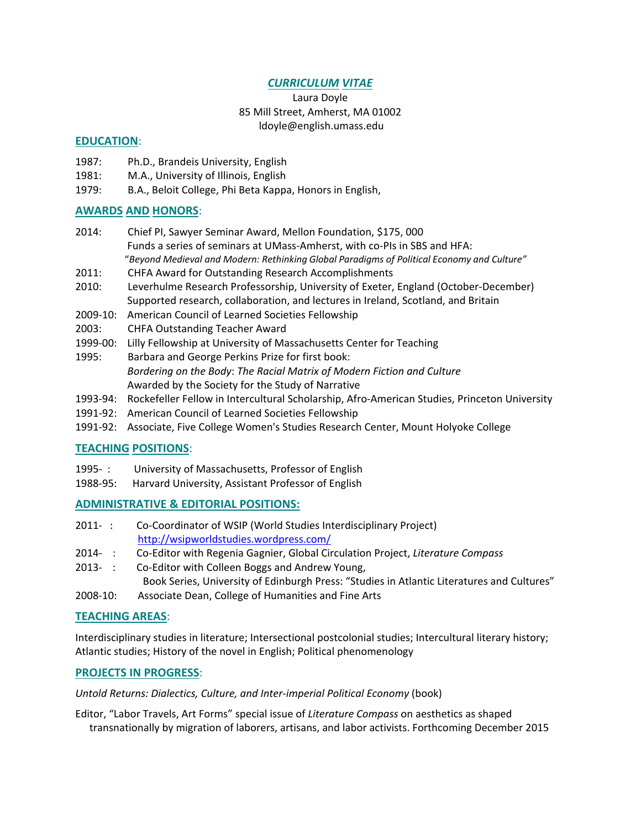# *CURRICULUM VITAE*

Laura Doyle 85 Mill Street, Amherst, MA 01002 ldoyle@english.umass.edu

# **EDUCATION**:

- 1987: Ph.D., Brandeis University, English
- 1981: M.A., University of Illinois, English
- 1979: B.A., Beloit College, Phi Beta Kappa, Honors in English,

# **AWARDS AND HONORS**:

- 2014: Chief PI, Sawyer Seminar Award, Mellon Foundation, \$175, 000 Funds a series of seminars at UMass‐Amherst, with co‐PIs in SBS and HFA: "*Beyond Medieval and Modern: Rethinking Global Paradigms of Political Economy and Culture"*
- 2011: CHFA Award for Outstanding Research Accomplishments
- 2010: Leverhulme Research Professorship, University of Exeter, England (October‐December) Supported research, collaboration, and lectures in Ireland, Scotland, and Britain
- 2009-10: American Council of Learned Societies Fellowship
- 2003: CHFA Outstanding Teacher Award
- 1999-00: Lilly Fellowship at University of Massachusetts Center for Teaching
- 1995: Barbara and George Perkins Prize for first book: *Bordering on the Body*: *The Racial Matrix of Modern Fiction and Culture* Awarded by the Society for the Study of Narrative
- 1993‐94: Rockefeller Fellow in Intercultural Scholarship, Afro‐American Studies, Princeton University
- 1991-92: American Council of Learned Societies Fellowship
- 1991-92: Associate, Five College Women's Studies Research Center, Mount Holyoke College

### **TEACHING POSITIONS**:

- 1995-: University of Massachusetts, Professor of English
- 1988‐95: Harvard University, Assistant Professor of English

### **ADMINISTRATIVE & EDITORIAL POSITIONS:**

- 2011‐ : Co-Coordinator of WSIP (World Studies Interdisciplinary Project) http://wsipworldstudies.wordpress.com/
- 2014‐ : Co‐Editor with Regenia Gagnier, Global Circulation Project, *Literature Compass*
- 2013‐ : Co-Editor with Colleen Boggs and Andrew Young,
	- Book Series, University of Edinburgh Press: "Studies in Atlantic Literatures and Cultures"
- 2008‐10: Associate Dean, College of Humanities and Fine Arts

### **TEACHING AREAS**:

Interdisciplinary studies in literature; Intersectional postcolonial studies; Intercultural literary history; Atlantic studies; History of the novel in English; Political phenomenology

### **PROJECTS IN PROGRESS**:

*Untold Returns: Dialectics, Culture, and Inter‐imperial Political Economy* (book)

Editor, "Labor Travels, Art Forms" special issue of *Literature Compass* on aesthetics as shaped transnationally by migration of laborers, artisans, and labor activists. Forthcoming December 2015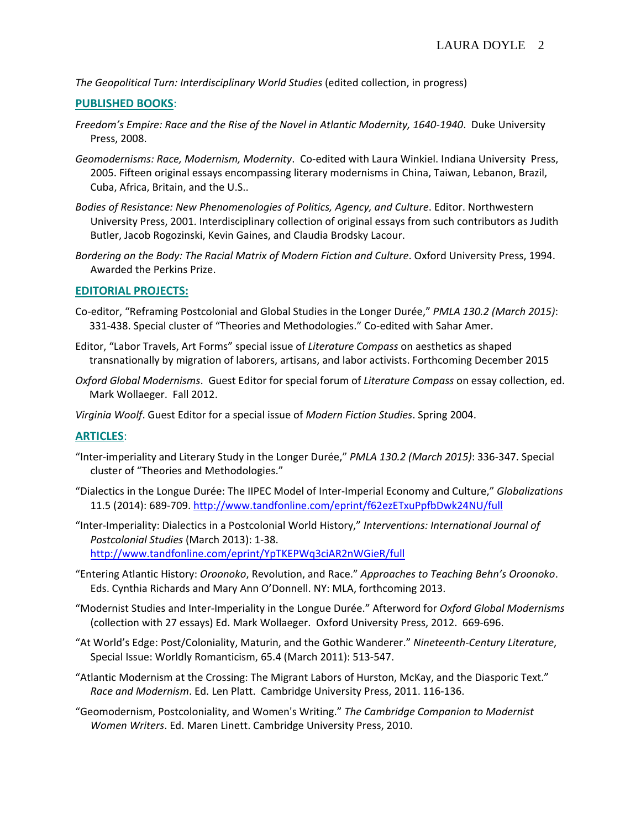*The Geopolitical Turn: Interdisciplinary World Studies* (edited collection, in progress)

### **PUBLISHED BOOKS**:

- *Freedom's Empire: Race and the Rise of the Novel in Atlantic Modernity, 1640‐1940*. Duke University Press, 2008.
- *Geomodernisms: Race, Modernism, Modernity*. Co‐edited with Laura Winkiel. Indiana University Press, 2005. Fifteen original essays encompassing literary modernisms in China, Taiwan, Lebanon, Brazil, Cuba, Africa, Britain, and the U.S..
- *Bodies of Resistance: New Phenomenologies of Politics, Agency, and Culture*. Editor. Northwestern University Press, 2001. Interdisciplinary collection of original essays from such contributors as Judith Butler, Jacob Rogozinski, Kevin Gaines, and Claudia Brodsky Lacour.
- *Bordering on the Body: The Racial Matrix of Modern Fiction and Culture*. Oxford University Press, 1994. Awarded the Perkins Prize.

### **EDITORIAL PROJECTS:**

- Co‐editor, "Reframing Postcolonial and Global Studies in the Longer Durée," *PMLA 130.2 (March 2015)*: 331-438. Special cluster of "Theories and Methodologies." Co-edited with Sahar Amer.
- Editor, "Labor Travels, Art Forms" special issue of *Literature Compass* on aesthetics as shaped transnationally by migration of laborers, artisans, and labor activists. Forthcoming December 2015
- *Oxford Global Modernisms*. Guest Editor for special forum of *Literature Compass* on essay collection, ed. Mark Wollaeger. Fall 2012.

*Virginia Woolf*. Guest Editor for a special issue of *Modern Fiction Studies*. Spring 2004.

### **ARTICLES**:

- "Inter‐imperiality and Literary Study in the Longer Durée," *PMLA 130.2 (March 2015)*: 336‐347. Special cluster of "Theories and Methodologies."
- "Dialectics in the Longue Durée: The IIPEC Model of Inter‐Imperial Economy and Culture," *Globalizations* 11.5 (2014): 689‐709. http://www.tandfonline.com/eprint/f62ezETxuPpfbDwk24NU/full

"Inter‐Imperiality: Dialectics in a Postcolonial World History," *Interventions: International Journal of Postcolonial Studies* (March 2013): 1‐38. http://www.tandfonline.com/eprint/YpTKEPWq3ciAR2nWGieR/full

- "Entering Atlantic History: *Oroonoko*, Revolution, and Race." *Approaches to Teaching Behn's Oroonoko*. Eds. Cynthia Richards and Mary Ann O'Donnell. NY: MLA, forthcoming 2013.
- "Modernist Studies and Inter‐Imperiality in the Longue Durée." Afterword for *Oxford Global Modernisms* (collection with 27 essays) Ed. Mark Wollaeger. Oxford University Press, 2012. 669‐696.
- "At World's Edge: Post/Coloniality, Maturin, and the Gothic Wanderer." *Nineteenth‐Century Literature*, Special Issue: Worldly Romanticism, 65.4 (March 2011): 513‐547.
- "Atlantic Modernism at the Crossing: The Migrant Labors of Hurston, McKay, and the Diasporic Text." *Race and Modernism*. Ed. Len Platt. Cambridge University Press, 2011. 116‐136.
- "Geomodernism, Postcoloniality, and Women's Writing." *The Cambridge Companion to Modernist Women Writers*. Ed. Maren Linett. Cambridge University Press, 2010.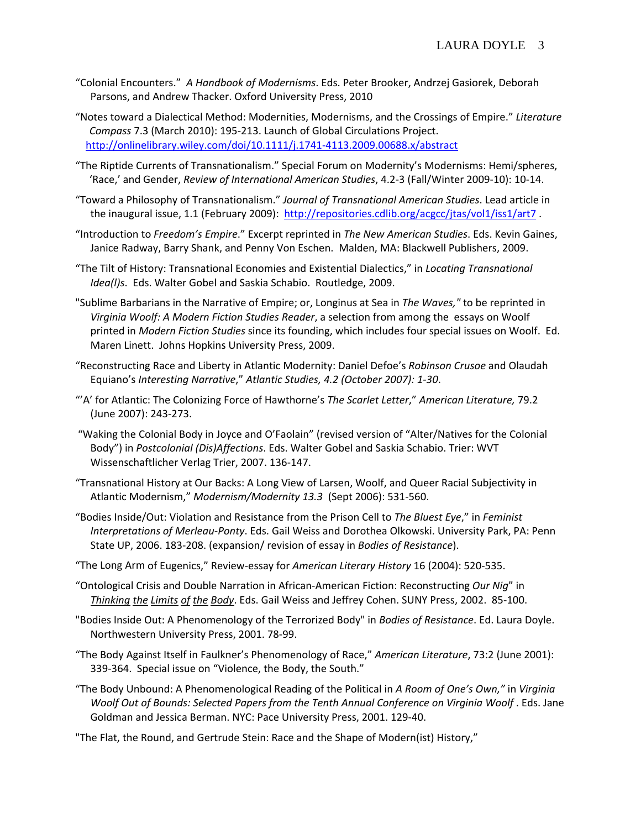- "Colonial Encounters." *A Handbook of Modernisms*. Eds. Peter Brooker, Andrzej Gasiorek, Deborah Parsons, and Andrew Thacker. Oxford University Press, 2010
- "Notes toward a Dialectical Method: Modernities, Modernisms, and the Crossings of Empire." *Literature Compass* 7.3 (March 2010): 195‐213. Launch of Global Circulations Project. http://onlinelibrary.wiley.com/doi/10.1111/j.1741‐4113.2009.00688.x/abstract
- "The Riptide Currents of Transnationalism." Special Forum on Modernity's Modernisms: Hemi/spheres, 'Race,' and Gender, *Review of International American Studies*, 4.2‐3 (Fall/Winter 2009‐10): 10‐14.
- "Toward a Philosophy of Transnationalism." *Journal of Transnational American Studies*. Lead article in the inaugural issue, 1.1 (February 2009): http://repositories.cdlib.org/acgcc/jtas/vol1/iss1/art7 .
- "Introduction to *Freedom's Empire*." Excerpt reprinted in *The New American Studies*. Eds. Kevin Gaines, Janice Radway, Barry Shank, and Penny Von Eschen. Malden, MA: Blackwell Publishers, 2009.
- "The Tilt of History: Transnational Economies and Existential Dialectics," in *Locating Transnational Idea(l)s*. Eds. Walter Gobel and Saskia Schabio. Routledge, 2009.
- "Sublime Barbarians in the Narrative of Empire; or, Longinus at Sea in *The Waves,"* to be reprinted in *Virginia Woolf: A Modern Fiction Studies Reader*, a selection from among the essays on Woolf printed in *Modern Fiction Studies* since its founding, which includes four special issues on Woolf. Ed. Maren Linett. Johns Hopkins University Press, 2009.
- "Reconstructing Race and Liberty in Atlantic Modernity: Daniel Defoe's *Robinson Crusoe* and Olaudah Equiano's *Interesting Narrative*," *Atlantic Studies, 4.2 (October 2007): 1‐30*.
- "'A' for Atlantic: The Colonizing Force of Hawthorne's *The Scarlet Letter*," *American Literature,* 79.2 (June 2007): 243‐273.
- "Waking the Colonial Body in Joyce and O'Faolain" (revised version of "Alter/Natives for the Colonial Body") in *Postcolonial (Dis)Affections*. Eds. Walter Gobel and Saskia Schabio. Trier: WVT Wissenschaftlicher Verlag Trier, 2007. 136‐147.
- "Transnational History at Our Backs: A Long View of Larsen, Woolf, and Queer Racial Subjectivity in Atlantic Modernism," *Modernism/Modernity 13.3* (Sept 2006): 531‐560.
- "Bodies Inside/Out: Violation and Resistance from the Prison Cell to *The Bluest Eye*," in *Feminist Interpretations of Merleau‐Ponty*. Eds. Gail Weiss and Dorothea Olkowski. University Park, PA: Penn State UP, 2006. 183‐208. (expansion/ revision of essay in *Bodies of Resistance*).
- "The Long Arm of Eugenics," Review‐essay for *American Literary History* 16 (2004): 520‐535.
- "Ontological Crisis and Double Narration in African‐American Fiction: Reconstructing *Our Nig*" in *Thinking the Limits of the Body*. Eds. Gail Weiss and Jeffrey Cohen. SUNY Press, 2002. 85‐100.
- "Bodies Inside Out: A Phenomenology of the Terrorized Body" in *Bodies of Resistance*. Ed. Laura Doyle. Northwestern University Press, 2001. 78‐99.
- "The Body Against Itself in Faulkner's Phenomenology of Race," *American Literature*, 73:2 (June 2001): 339‐364. Special issue on "Violence, the Body, the South."
- "The Body Unbound: A Phenomenological Reading of the Political in *A Room of One's Own,"* in *Virginia Woolf Out of Bounds: Selected Papers from the Tenth Annual Conference on Virginia Woolf* . Eds. Jane Goldman and Jessica Berman. NYC: Pace University Press, 2001. 129‐40.
- "The Flat, the Round, and Gertrude Stein: Race and the Shape of Modern(ist) History,"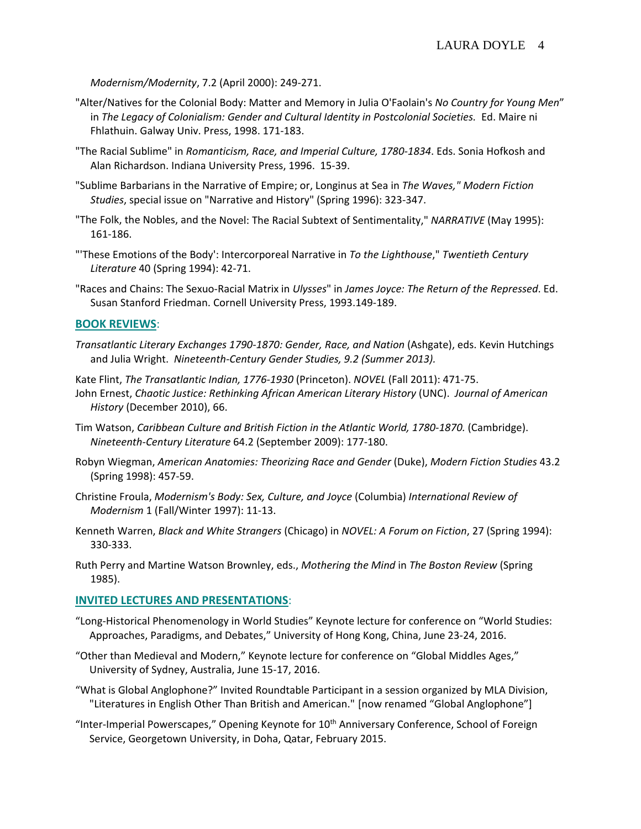*Modernism/Modernity*, 7.2 (April 2000): 249‐271.

- "Alter/Natives for the Colonial Body: Matter and Memory in Julia O'Faolain's *No Country for Young Men*" in *The Legacy of Colonialism: Gender and Cultural Identity in Postcolonial Societies.* Ed. Maire ni Fhlathuin. Galway Univ. Press, 1998. 171‐183.
- "The Racial Sublime" in *Romanticism, Race, and Imperial Culture, 1780‐1834*. Eds. Sonia Hofkosh and Alan Richardson. Indiana University Press, 1996. 15‐39.
- "Sublime Barbarians in the Narrative of Empire; or, Longinus at Sea in *The Waves," Modern Fiction Studies*, special issue on "Narrative and History" (Spring 1996): 323‐347.
- "The Folk, the Nobles, and the Novel: The Racial Subtext of Sentimentality," *NARRATIVE* (May 1995): 161‐186.
- "'These Emotions of the Body': Intercorporeal Narrative in *To the Lighthouse*," *Twentieth Century Literature* 40 (Spring 1994): 42‐71.
- "Races and Chains: The Sexuo‐Racial Matrix in *Ulysses*" in *James Joyce: The Return of the Repressed*. Ed. Susan Stanford Friedman. Cornell University Press, 1993.149‐189.

### **BOOK REVIEWS**:

- *Transatlantic Literary Exchanges 1790‐1870: Gender, Race, and Nation* (Ashgate), eds. Kevin Hutchings and Julia Wright. *Nineteenth‐Century Gender Studies, 9.2 (Summer 2013).*
- Kate Flint, *The Transatlantic Indian, 1776‐1930* (Princeton). *NOVEL* (Fall 2011): 471‐75.
- John Ernest, *Chaotic Justice: Rethinking African American Literary History* (UNC). *Journal of American History* (December 2010), 66.
- Tim Watson, *Caribbean Culture and British Fiction in the Atlantic World, 1780‐1870.* (Cambridge). *Nineteenth‐Century Literature* 64.2 (September 2009): 177‐180.
- Robyn Wiegman, *American Anatomies: Theorizing Race and Gender* (Duke), *Modern Fiction Studies* 43.2 (Spring 1998): 457‐59.
- Christine Froula, *Modernism's Body: Sex, Culture, and Joyce* (Columbia) *International Review of Modernism* 1 (Fall/Winter 1997): 11‐13.
- Kenneth Warren, *Black and White Strangers* (Chicago) in *NOVEL: A Forum on Fiction*, 27 (Spring 1994): 330‐333.
- Ruth Perry and Martine Watson Brownley, eds., *Mothering the Mind* in *The Boston Review* (Spring 1985).

#### **INVITED LECTURES AND PRESENTATIONS**:

- "Long‐Historical Phenomenology in World Studies" Keynote lecture for conference on "World Studies: Approaches, Paradigms, and Debates," University of Hong Kong, China, June 23‐24, 2016.
- "Other than Medieval and Modern," Keynote lecture for conference on "Global Middles Ages," University of Sydney, Australia, June 15‐17, 2016.
- "What is Global Anglophone?" Invited Roundtable Participant in a session organized by MLA Division, "Literatures in English Other Than British and American." [now renamed "Global Anglophone"]
- "Inter-Imperial Powerscapes," Opening Keynote for 10<sup>th</sup> Anniversary Conference, School of Foreign Service, Georgetown University, in Doha, Qatar, February 2015.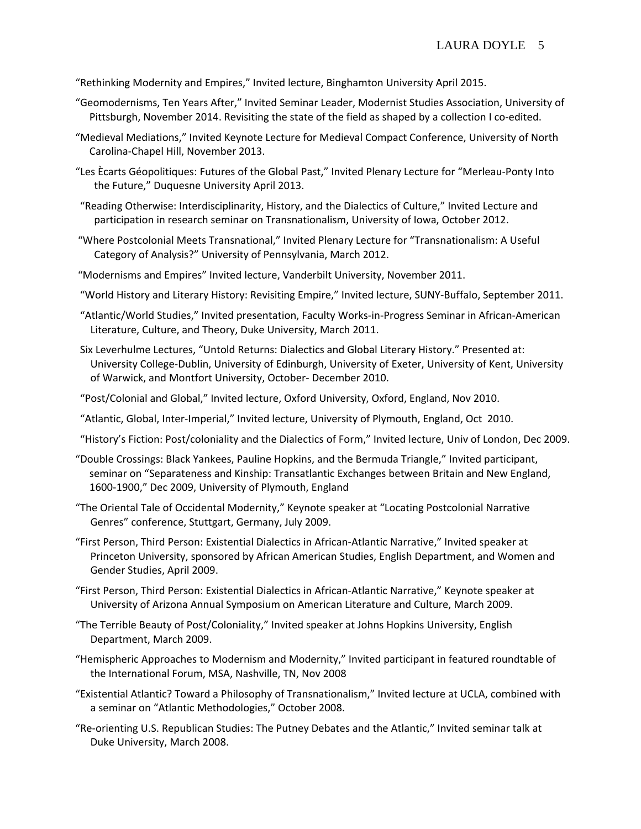"Rethinking Modernity and Empires," Invited lecture, Binghamton University April 2015.

- "Geomodernisms, Ten Years After," Invited Seminar Leader, Modernist Studies Association, University of Pittsburgh, November 2014. Revisiting the state of the field as shaped by a collection I co-edited.
- "Medieval Mediations," Invited Keynote Lecture for Medieval Compact Conference, University of North Carolina‐Chapel Hill, November 2013.
- "Les Ècarts Géopolitiques: Futures of the Global Past," Invited Plenary Lecture for "Merleau‐Ponty Into the Future," Duquesne University April 2013.
- "Reading Otherwise: Interdisciplinarity, History, and the Dialectics of Culture," Invited Lecture and participation in research seminar on Transnationalism, University of Iowa, October 2012.
- "Where Postcolonial Meets Transnational," Invited Plenary Lecture for "Transnationalism: A Useful Category of Analysis?" University of Pennsylvania, March 2012.
- "Modernisms and Empires" Invited lecture, Vanderbilt University, November 2011.
- "World History and Literary History: Revisiting Empire," Invited lecture, SUNY‐Buffalo, September 2011.
- "Atlantic/World Studies," Invited presentation, Faculty Works‐in‐Progress Seminar in African‐American Literature, Culture, and Theory, Duke University, March 2011.
- Six Leverhulme Lectures, "Untold Returns: Dialectics and Global Literary History." Presented at: University College‐Dublin, University of Edinburgh, University of Exeter, University of Kent, University of Warwick, and Montfort University, October‐ December 2010.
- "Post/Colonial and Global," Invited lecture, Oxford University, Oxford, England, Nov 2010.
- "Atlantic, Global, Inter‐Imperial," Invited lecture, University of Plymouth, England, Oct 2010.
- "History's Fiction: Post/coloniality and the Dialectics of Form," Invited lecture, Univ of London, Dec 2009.
- "Double Crossings: Black Yankees, Pauline Hopkins, and the Bermuda Triangle," Invited participant, seminar on "Separateness and Kinship: Transatlantic Exchanges between Britain and New England, 1600‐1900," Dec 2009, University of Plymouth, England
- "The Oriental Tale of Occidental Modernity," Keynote speaker at "Locating Postcolonial Narrative Genres" conference, Stuttgart, Germany, July 2009.
- "First Person, Third Person: Existential Dialectics in African‐Atlantic Narrative," Invited speaker at Princeton University, sponsored by African American Studies, English Department, and Women and Gender Studies, April 2009.
- "First Person, Third Person: Existential Dialectics in African‐Atlantic Narrative," Keynote speaker at University of Arizona Annual Symposium on American Literature and Culture, March 2009.
- "The Terrible Beauty of Post/Coloniality," Invited speaker at Johns Hopkins University, English Department, March 2009.
- "Hemispheric Approaches to Modernism and Modernity," Invited participant in featured roundtable of the International Forum, MSA, Nashville, TN, Nov 2008
- "Existential Atlantic? Toward a Philosophy of Transnationalism," Invited lecture at UCLA, combined with a seminar on "Atlantic Methodologies," October 2008.
- "Re‐orienting U.S. Republican Studies: The Putney Debates and the Atlantic," Invited seminar talk at Duke University, March 2008.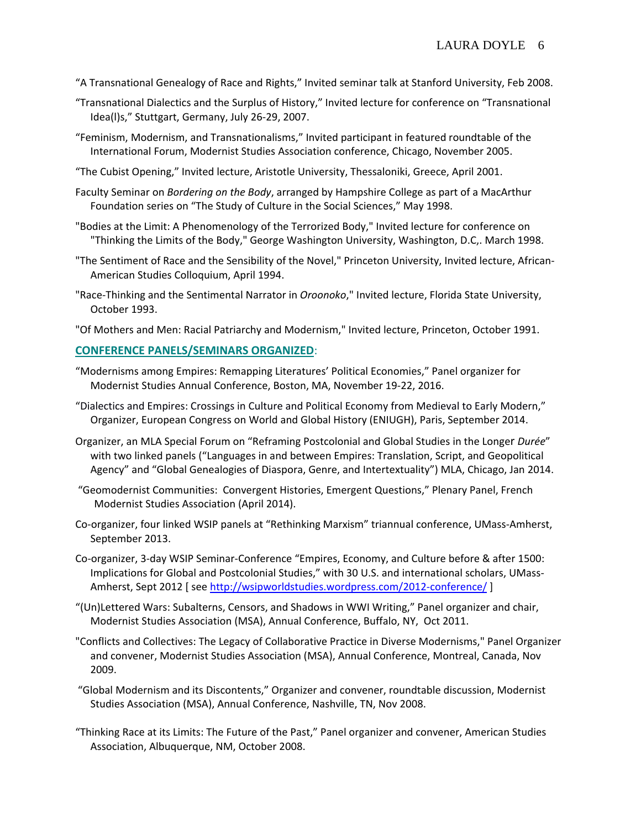- "A Transnational Genealogy of Race and Rights," Invited seminar talk at Stanford University, Feb 2008.
- "Transnational Dialectics and the Surplus of History," Invited lecture for conference on "Transnational Idea(l)s," Stuttgart, Germany, July 26‐29, 2007.
- "Feminism, Modernism, and Transnationalisms," Invited participant in featured roundtable of the International Forum, Modernist Studies Association conference, Chicago, November 2005.
- "The Cubist Opening," Invited lecture, Aristotle University, Thessaloniki, Greece, April 2001.
- Faculty Seminar on *Bordering on the Body*, arranged by Hampshire College as part of a MacArthur Foundation series on "The Study of Culture in the Social Sciences," May 1998.
- "Bodies at the Limit: A Phenomenology of the Terrorized Body," Invited lecture for conference on "Thinking the Limits of the Body," George Washington University, Washington, D.C,. March 1998.
- "The Sentiment of Race and the Sensibility of the Novel," Princeton University, Invited lecture, African‐ American Studies Colloquium, April 1994.
- "Race‐Thinking and the Sentimental Narrator in *Oroonoko*," Invited lecture, Florida State University, October 1993.
- "Of Mothers and Men: Racial Patriarchy and Modernism," Invited lecture, Princeton, October 1991.

# **CONFERENCE PANELS/SEMINARS ORGANIZED**:

- "Modernisms among Empires: Remapping Literatures' Political Economies," Panel organizer for Modernist Studies Annual Conference, Boston, MA, November 19‐22, 2016.
- "Dialectics and Empires: Crossings in Culture and Political Economy from Medieval to Early Modern," Organizer, European Congress on World and Global History (ENIUGH), Paris, September 2014.
- Organizer, an MLA Special Forum on "Reframing Postcolonial and Global Studies in the Longer *Durée*" with two linked panels ("Languages in and between Empires: Translation, Script, and Geopolitical Agency" and "Global Genealogies of Diaspora, Genre, and Intertextuality") MLA, Chicago, Jan 2014.
- "Geomodernist Communities: Convergent Histories, Emergent Questions," Plenary Panel, French Modernist Studies Association (April 2014).
- Co‐organizer, four linked WSIP panels at "Rethinking Marxism" triannual conference, UMass‐Amherst, September 2013.
- Co‐organizer, 3‐day WSIP Seminar‐Conference "Empires, Economy, and Culture before & after 1500: Implications for Global and Postcolonial Studies," with 30 U.S. and international scholars, UMass‐ Amherst, Sept 2012 [ see http://wsipworldstudies.wordpress.com/2012-conference/ ]
- "(Un)Lettered Wars: Subalterns, Censors, and Shadows in WWI Writing," Panel organizer and chair, Modernist Studies Association (MSA), Annual Conference, Buffalo, NY, Oct 2011.
- "Conflicts and Collectives: The Legacy of Collaborative Practice in Diverse Modernisms," Panel Organizer and convener, Modernist Studies Association (MSA), Annual Conference, Montreal, Canada, Nov 2009.
- "Global Modernism and its Discontents," Organizer and convener, roundtable discussion, Modernist Studies Association (MSA), Annual Conference, Nashville, TN, Nov 2008.
- "Thinking Race at its Limits: The Future of the Past," Panel organizer and convener, American Studies Association, Albuquerque, NM, October 2008.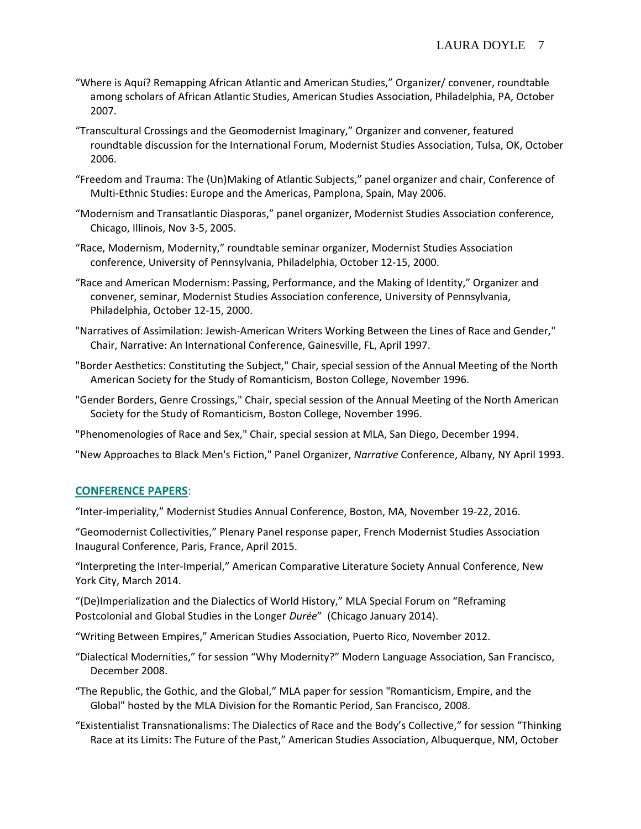- "Where is Aquí? Remapping African Atlantic and American Studies," Organizer/ convener, roundtable among scholars of African Atlantic Studies, American Studies Association, Philadelphia, PA, October 2007.
- "Transcultural Crossings and the Geomodernist Imaginary," Organizer and convener, featured roundtable discussion for the International Forum, Modernist Studies Association, Tulsa, OK, October 2006.
- "Freedom and Trauma: The (Un)Making of Atlantic Subjects," panel organizer and chair, Conference of Multi‐Ethnic Studies: Europe and the Americas, Pamplona, Spain, May 2006.
- "Modernism and Transatlantic Diasporas," panel organizer, Modernist Studies Association conference, Chicago, Illinois, Nov 3‐5, 2005.
- "Race, Modernism, Modernity," roundtable seminar organizer, Modernist Studies Association conference, University of Pennsylvania, Philadelphia, October 12‐15, 2000.
- "Race and American Modernism: Passing, Performance, and the Making of Identity," Organizer and convener, seminar, Modernist Studies Association conference, University of Pennsylvania, Philadelphia, October 12‐15, 2000.
- "Narratives of Assimilation: Jewish‐American Writers Working Between the Lines of Race and Gender," Chair, Narrative: An International Conference, Gainesville, FL, April 1997.
- "Border Aesthetics: Constituting the Subject," Chair, special session of the Annual Meeting of the North American Society for the Study of Romanticism, Boston College, November 1996.
- "Gender Borders, Genre Crossings," Chair, special session of the Annual Meeting of the North American Society for the Study of Romanticism, Boston College, November 1996.

"Phenomenologies of Race and Sex," Chair, special session at MLA, San Diego, December 1994.

"New Approaches to Black Men's Fiction," Panel Organizer, *Narrative* Conference, Albany, NY April 1993.

### **CONFERENCE PAPERS**:

"Inter‐imperiality," Modernist Studies Annual Conference, Boston, MA, November 19‐22, 2016.

"Geomodernist Collectivities," Plenary Panel response paper, French Modernist Studies Association Inaugural Conference, Paris, France, April 2015.

"Interpreting the Inter‐Imperial," American Comparative Literature Society Annual Conference, New York City, March 2014.

"(De)Imperialization and the Dialectics of World History," MLA Special Forum on "Reframing Postcolonial and Global Studies in the Longer *Durée*" (Chicago January 2014).

"Writing Between Empires," American Studies Association, Puerto Rico, November 2012.

- "Dialectical Modernities," for session "Why Modernity?" Modern Language Association, San Francisco, December 2008.
- "The Republic, the Gothic, and the Global," MLA paper for session "Romanticism, Empire, and the Global" hosted by the MLA Division for the Romantic Period, San Francisco, 2008.
- "Existentialist Transnationalisms: The Dialectics of Race and the Body's Collective," for session "Thinking Race at its Limits: The Future of the Past," American Studies Association, Albuquerque, NM, October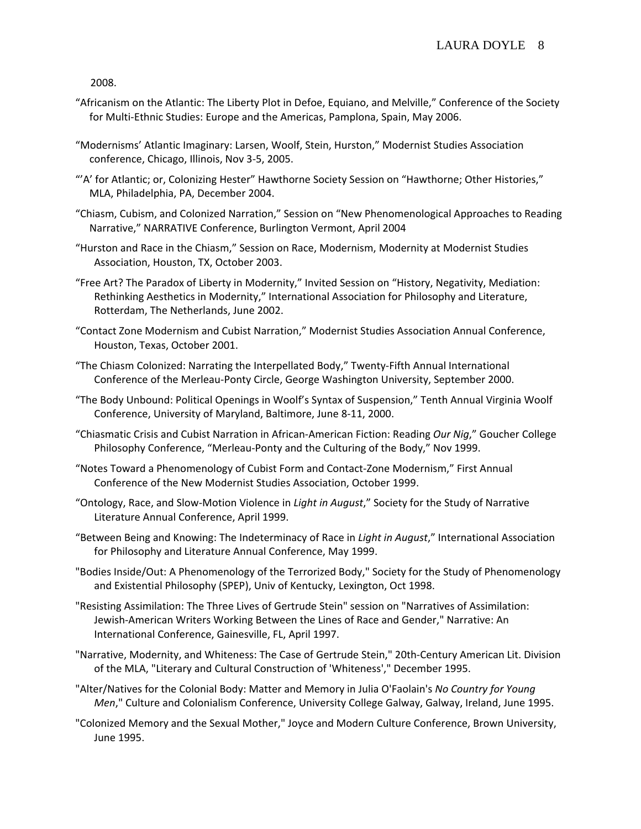2008.

- "Africanism on the Atlantic: The Liberty Plot in Defoe, Equiano, and Melville," Conference of the Society for Multi‐Ethnic Studies: Europe and the Americas, Pamplona, Spain, May 2006.
- "Modernisms' Atlantic Imaginary: Larsen, Woolf, Stein, Hurston," Modernist Studies Association conference, Chicago, Illinois, Nov 3‐5, 2005.
- "'A' for Atlantic; or, Colonizing Hester" Hawthorne Society Session on "Hawthorne; Other Histories," MLA, Philadelphia, PA, December 2004.
- "Chiasm, Cubism, and Colonized Narration," Session on "New Phenomenological Approaches to Reading Narrative," NARRATIVE Conference, Burlington Vermont, April 2004
- "Hurston and Race in the Chiasm," Session on Race, Modernism, Modernity at Modernist Studies Association, Houston, TX, October 2003.
- "Free Art? The Paradox of Liberty in Modernity," Invited Session on "History, Negativity, Mediation: Rethinking Aesthetics in Modernity," International Association for Philosophy and Literature, Rotterdam, The Netherlands, June 2002.
- "Contact Zone Modernism and Cubist Narration," Modernist Studies Association Annual Conference, Houston, Texas, October 2001.
- "The Chiasm Colonized: Narrating the Interpellated Body," Twenty‐Fifth Annual International Conference of the Merleau‐Ponty Circle, George Washington University, September 2000.
- "The Body Unbound: Political Openings in Woolf's Syntax of Suspension," Tenth Annual Virginia Woolf Conference, University of Maryland, Baltimore, June 8‐11, 2000.
- "Chiasmatic Crisis and Cubist Narration in African‐American Fiction: Reading *Our Nig*," Goucher College Philosophy Conference, "Merleau‐Ponty and the Culturing of the Body," Nov 1999.
- "Notes Toward a Phenomenology of Cubist Form and Contact‐Zone Modernism," First Annual Conference of the New Modernist Studies Association, October 1999.
- "Ontology, Race, and Slow‐Motion Violence in *Light in August*," Society for the Study of Narrative Literature Annual Conference, April 1999.
- "Between Being and Knowing: The Indeterminacy of Race in *Light in August*," International Association for Philosophy and Literature Annual Conference, May 1999.
- "Bodies Inside/Out: A Phenomenology of the Terrorized Body," Society for the Study of Phenomenology and Existential Philosophy (SPEP), Univ of Kentucky, Lexington, Oct 1998.
- "Resisting Assimilation: The Three Lives of Gertrude Stein" session on "Narratives of Assimilation: Jewish‐American Writers Working Between the Lines of Race and Gender," Narrative: An International Conference, Gainesville, FL, April 1997.
- "Narrative, Modernity, and Whiteness: The Case of Gertrude Stein," 20th‐Century American Lit. Division of the MLA, "Literary and Cultural Construction of 'Whiteness'," December 1995.
- "Alter/Natives for the Colonial Body: Matter and Memory in Julia O'Faolain's *No Country for Young Men*," Culture and Colonialism Conference, University College Galway, Galway, Ireland, June 1995.
- "Colonized Memory and the Sexual Mother," Joyce and Modern Culture Conference, Brown University, June 1995.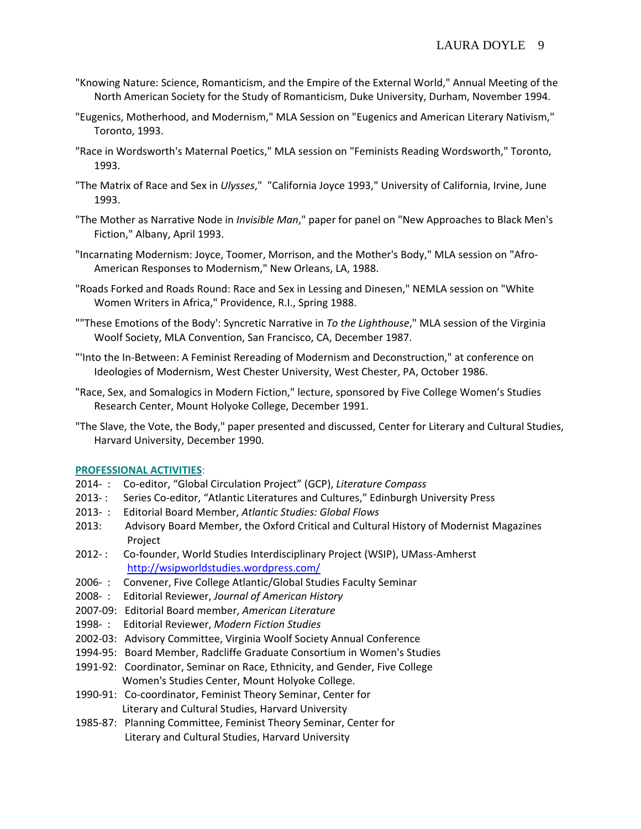- "Knowing Nature: Science, Romanticism, and the Empire of the External World," Annual Meeting of the North American Society for the Study of Romanticism, Duke University, Durham, November 1994.
- "Eugenics, Motherhood, and Modernism," MLA Session on "Eugenics and American Literary Nativism," Toronto, 1993.
- "Race in Wordsworth's Maternal Poetics," MLA session on "Feminists Reading Wordsworth," Toronto, 1993.
- "The Matrix of Race and Sex in *Ulysses*," "California Joyce 1993," University of California, Irvine, June 1993.
- "The Mother as Narrative Node in *Invisible Man*," paper for panel on "New Approaches to Black Men's Fiction," Albany, April 1993.
- "Incarnating Modernism: Joyce, Toomer, Morrison, and the Mother's Body," MLA session on "Afro‐ American Responses to Modernism," New Orleans, LA, 1988.
- "Roads Forked and Roads Round: Race and Sex in Lessing and Dinesen," NEMLA session on "White Women Writers in Africa," Providence, R.I., Spring 1988.
- ""These Emotions of the Body': Syncretic Narrative in *To the Lighthouse*," MLA session of the Virginia Woolf Society, MLA Convention, San Francisco, CA, December 1987.
- "'Into the In‐Between: A Feminist Rereading of Modernism and Deconstruction," at conference on Ideologies of Modernism, West Chester University, West Chester, PA, October 1986.
- "Race, Sex, and Somalogics in Modern Fiction," lecture, sponsored by Five College Women's Studies Research Center, Mount Holyoke College, December 1991.
- "The Slave, the Vote, the Body," paper presented and discussed, Center for Literary and Cultural Studies, Harvard University, December 1990.

#### **PROFESSIONAL ACTIVITIES**:

- 2014‐ : Co‐editor, "Global Circulation Project" (GCP), *Literature Compass*
- 2013‐: Series Co-editor, "Atlantic Literatures and Cultures," Edinburgh University Press
- 2013‐ : Editorial Board Member, *Atlantic Studies: Global Flows*
- 2013: Advisory Board Member, the Oxford Critical and Cultural History of Modernist Magazines Project
- 2012‐ : Co-founder, World Studies Interdisciplinary Project (WSIP), UMass-Amherst http://wsipworldstudies.wordpress.com/
- 2006-: Convener, Five College Atlantic/Global Studies Faculty Seminar
- 2008‐ : Editorial Reviewer, *Journal of American History*
- 2007‐09: Editorial Board member, *American Literature*
- 1998‐ : Editorial Reviewer, *Modern Fiction Studies*
- 2002‐03: Advisory Committee, Virginia Woolf Society Annual Conference
- 1994‐95: Board Member, Radcliffe Graduate Consortium in Women's Studies
- 1991-92: Coordinator, Seminar on Race, Ethnicity, and Gender, Five College Women's Studies Center, Mount Holyoke College.
- 1990-91: Co-coordinator, Feminist Theory Seminar, Center for Literary and Cultural Studies, Harvard University
- 1985‐87: Planning Committee, Feminist Theory Seminar, Center for Literary and Cultural Studies, Harvard University